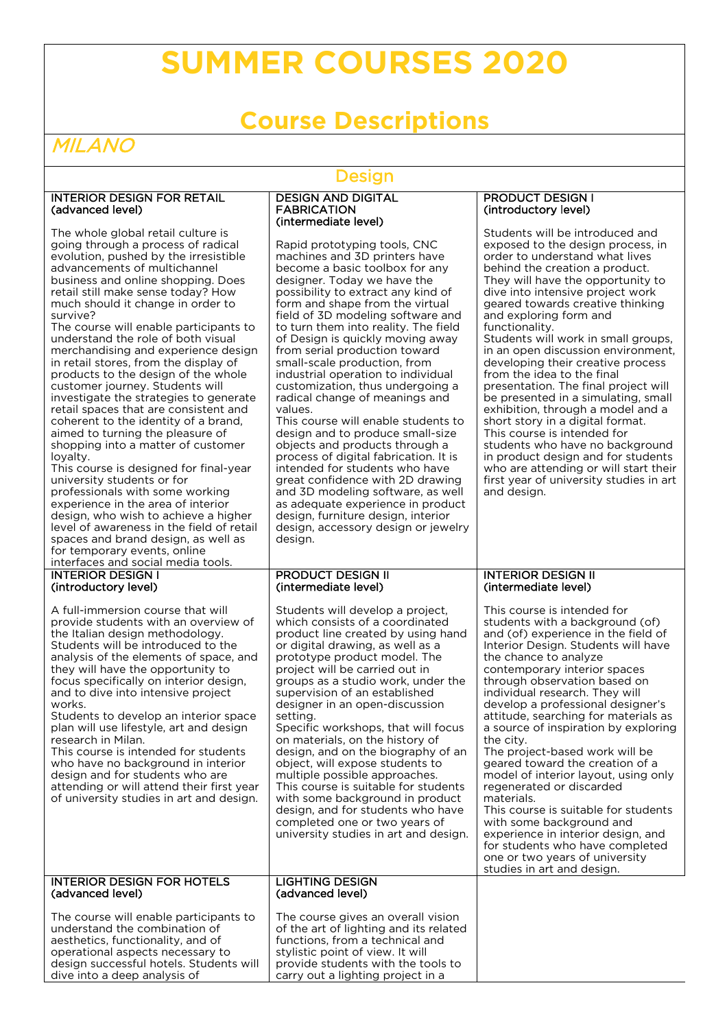# **SUMMER COURSES 2020**

# **Course Descriptions**

# MILANO

### Design

#### INTERIOR DESIGN FOR RETAIL (advanced level)

The whole global retail culture is going through a process of radical evolution, pushed by the irresistible advancements of multichannel business and online shopping. Does retail still make sense today? How much should it change in order to survive?

The course will enable participants to understand the role of both visual merchandising and experience design in retail stores, from the display of products to the design of the whole customer journey. Students will investigate the strategies to generate retail spaces that are consistent and coherent to the identity of a brand, aimed to turning the pleasure of shopping into a matter of customer loyalty.

This course is designed for final-year university students or for professionals with some working experience in the area of interior design, who wish to achieve a higher level of awareness in the field of retail spaces and brand design, as well as for temporary events, online interfaces and social media tools.

INTERIOR DESIGN I (introductory level)

A full-immersion course that will provide students with an overview of the Italian design methodology. Students will be introduced to the analysis of the elements of space, and they will have the opportunity to focus specifically on interior design, and to dive into intensive project works.

Students to develop an interior space plan will use lifestyle, art and design research in Milan.

This course is intended for students who have no background in interior design and for students who are attending or will attend their first year of university studies in art and design.

INTERIOR DESIGN FOR HOTELS

(advanced level)

#### DESIGN AND DIGITAL FABRICATION (intermediate level)

Rapid prototyping tools, CNC machines and 3D printers have become a basic toolbox for any designer. Today we have the possibility to extract any kind of form and shape from the virtual field of 3D modeling software and to turn them into reality. The field of Design is quickly moving away from serial production toward small-scale production, from industrial operation to individual customization, thus undergoing a radical change of meanings and values. This course will enable students to design and to produce small-size objects and products through a

process of digital fabrication. It is intended for students who have great confidence with 2D drawing and 3D modeling software, as well as adequate experience in product design, furniture design, interior design, accessory design or jewelry design.

#### PRODUCT DESIGN II (intermediate level)

Students will develop a project, which consists of a coordinated product line created by using hand or digital drawing, as well as a prototype product model. The project will be carried out in groups as a studio work, under the supervision of an established designer in an open-discussion setting.

Specific workshops, that will focus on materials, on the history of design, and on the biography of an object, will expose students to multiple possible approaches. This course is suitable for students with some background in product design, and for students who have completed one or two years of university studies in art and design.

#### LIGHTING DESIGN (advanced level)

The course will enable participants to understand the combination of aesthetics, functionality, and of operational aspects necessary to design successful hotels. Students will dive into a deep analysis of

#### PRODUCT DESIGN I (introductory level)

Students will be introduced and exposed to the design process, in order to understand what lives behind the creation a product. They will have the opportunity to dive into intensive project work geared towards creative thinking and exploring form and functionality. Students will work in small groups, in an open discussion environment, developing their creative process from the idea to the final

presentation. The final project will be presented in a simulating, small exhibition, through a model and a short story in a digital format. This course is intended for students who have no background in product design and for students who are attending or will start their first year of university studies in art and design.

#### INTERIOR DESIGN II (intermediate level)

This course is intended for students with a background (of) and (of) experience in the field of Interior Design. Students will have the chance to analyze contemporary interior spaces through observation based on individual research. They will develop a professional designer's attitude, searching for materials as a source of inspiration by exploring the city. The project-based work will be geared toward the creation of a

model of interior layout, using only regenerated or discarded materials.

This course is suitable for students with some background and experience in interior design, and for students who have completed one or two years of university studies in art and design.

# The course gives an overall vision

of the art of lighting and its related functions, from a technical and stylistic point of view. It will provide students with the tools to carry out a lighting project in a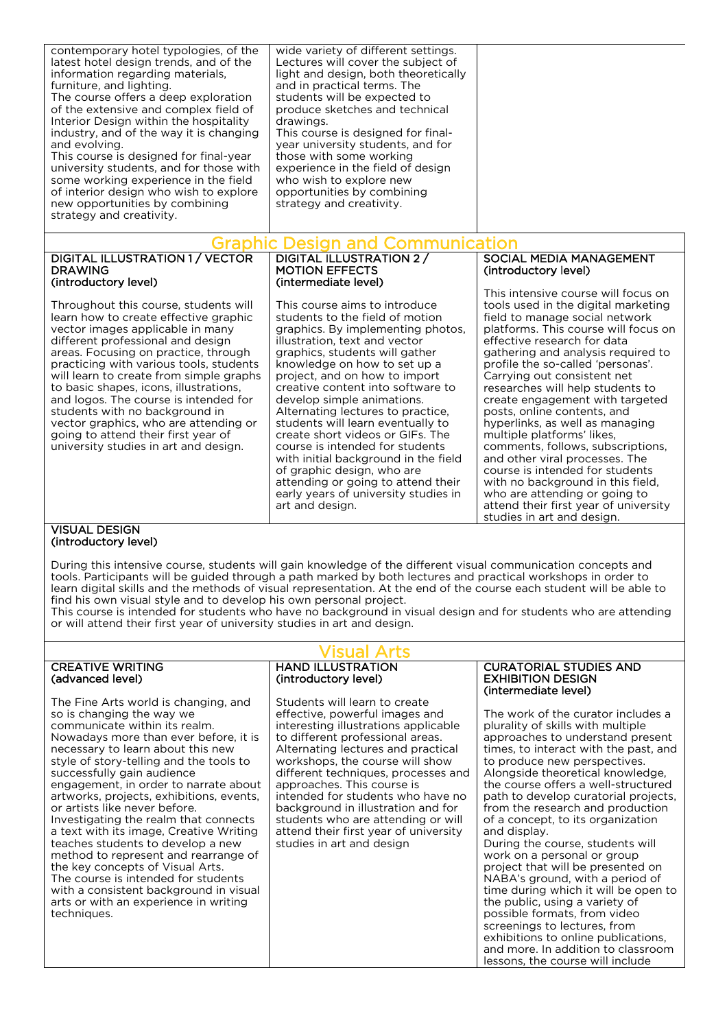| contemporary hotel typologies, of the<br>latest hotel design trends, and of the<br>information regarding materials,<br>furniture, and lighting.<br>The course offers a deep exploration<br>of the extensive and complex field of<br>Interior Design within the hospitality<br>industry, and of the way it is changing<br>and evolving.<br>This course is designed for final-year<br>university students, and for those with<br>some working experience in the field<br>of interior design who wish to explore<br>new opportunities by combining<br>strategy and creativity. | wide variety of different settings.<br>Lectures will cover the subject of<br>light and design, both theoretically<br>and in practical terms. The<br>students will be expected to<br>produce sketches and technical<br>drawings.<br>This course is designed for final-<br>year university students, and for<br>those with some working<br>experience in the field of design<br>who wish to explore new<br>opportunities by combining<br>strategy and creativity. |                                      |  |  |
|-----------------------------------------------------------------------------------------------------------------------------------------------------------------------------------------------------------------------------------------------------------------------------------------------------------------------------------------------------------------------------------------------------------------------------------------------------------------------------------------------------------------------------------------------------------------------------|-----------------------------------------------------------------------------------------------------------------------------------------------------------------------------------------------------------------------------------------------------------------------------------------------------------------------------------------------------------------------------------------------------------------------------------------------------------------|--------------------------------------|--|--|
| Graphic Design and Communication                                                                                                                                                                                                                                                                                                                                                                                                                                                                                                                                            |                                                                                                                                                                                                                                                                                                                                                                                                                                                                 |                                      |  |  |
| DIGITAL ILLUSTRATION 1 / VECTOR                                                                                                                                                                                                                                                                                                                                                                                                                                                                                                                                             | DIGITAL ILLUSTRATION 2/                                                                                                                                                                                                                                                                                                                                                                                                                                         | SOCIAL MEDIA MANAGEMENT              |  |  |
| <b>DRAWING</b>                                                                                                                                                                                                                                                                                                                                                                                                                                                                                                                                                              | <b>MOTION EFFECTS</b>                                                                                                                                                                                                                                                                                                                                                                                                                                           | (introductory level)                 |  |  |
| (introductory level)                                                                                                                                                                                                                                                                                                                                                                                                                                                                                                                                                        | (intermediate level)                                                                                                                                                                                                                                                                                                                                                                                                                                            | This intensive course will focus on  |  |  |
| Throughout this course, students will                                                                                                                                                                                                                                                                                                                                                                                                                                                                                                                                       | This course aims to introduce                                                                                                                                                                                                                                                                                                                                                                                                                                   | tools used in the digital marketing  |  |  |
| learn how to create effective graphic                                                                                                                                                                                                                                                                                                                                                                                                                                                                                                                                       | students to the field of motion                                                                                                                                                                                                                                                                                                                                                                                                                                 | field to manage social network       |  |  |
| vector images applicable in many                                                                                                                                                                                                                                                                                                                                                                                                                                                                                                                                            | graphics. By implementing photos,                                                                                                                                                                                                                                                                                                                                                                                                                               | platforms. This course will focus on |  |  |
| different professional and design                                                                                                                                                                                                                                                                                                                                                                                                                                                                                                                                           | illustration, text and vector                                                                                                                                                                                                                                                                                                                                                                                                                                   | effective research for data          |  |  |
| areas. Focusing on practice, through                                                                                                                                                                                                                                                                                                                                                                                                                                                                                                                                        | graphics, students will gather                                                                                                                                                                                                                                                                                                                                                                                                                                  | gathering and analysis required to   |  |  |
| practicing with various tools, students                                                                                                                                                                                                                                                                                                                                                                                                                                                                                                                                     | knowledge on how to set up a                                                                                                                                                                                                                                                                                                                                                                                                                                    | profile the so-called 'personas'.    |  |  |
| will learn to create from simple graphs                                                                                                                                                                                                                                                                                                                                                                                                                                                                                                                                     | project, and on how to import                                                                                                                                                                                                                                                                                                                                                                                                                                   | Carrying out consistent net          |  |  |
| to basic shapes, icons, illustrations,                                                                                                                                                                                                                                                                                                                                                                                                                                                                                                                                      | creative content into software to                                                                                                                                                                                                                                                                                                                                                                                                                               | researches will help students to     |  |  |
| and logos. The course is intended for                                                                                                                                                                                                                                                                                                                                                                                                                                                                                                                                       | develop simple animations.                                                                                                                                                                                                                                                                                                                                                                                                                                      | create engagement with targeted      |  |  |
| students with no background in                                                                                                                                                                                                                                                                                                                                                                                                                                                                                                                                              | Alternating lectures to practice                                                                                                                                                                                                                                                                                                                                                                                                                                | posts, online contents, and          |  |  |

students with no background in vector graphics, who are attending or going to attend their first year of university studies in art and design.

Alternating lectures to practice, students will learn eventually to create short videos or GIFs. The course is intended for students with initial background in the field of graphic design, who are attending or going to attend their early years of university studies in art and design.

#### VISUAL DESIGN (introductory level)

During this intensive course, students will gain knowledge of the different visual communication concepts and tools. Participants will be guided through a path marked by both lectures and practical workshops in order to learn digital skills and the methods of visual representation. At the end of the course each student will be able to find his own visual style and to develop his own personal project.

This course is intended for students who have no background in visual design and for students who are attending or will attend their first year of university studies in art and design.

#### CREATIVE WRITING (advanced level)

The Fine Arts world is changing, and so is changing the way we communicate within its realm. Nowadays more than ever before, it is necessary to learn about this new style of story-telling and the tools to successfully gain audience engagement, in order to narrate about artworks, projects, exhibitions, events, or artists like never before. Investigating the realm that connects a text with its image, Creative Writing teaches students to develop a new method to represent and rearrange of the key concepts of Visual Arts. The course is intended for students with a consistent background in visual arts or with an experience in writing techniques.

#### Visual Arts HAND ILLUSTRATION (introductory level)

Students will learn to create effective, powerful images and interesting illustrations applicable to different professional areas. Alternating lectures and practical workshops, the course will show different techniques, processes and approaches. This course is intended for students who have no background in illustration and for students who are attending or will attend their first year of university studies in art and design

#### CURATORIAL STUDIES AND EXHIBITION DESIGN (intermediate level)

hyperlinks, as well as managing multiple platforms' likes,

studies in art and design.

comments, follows, subscriptions, and other viral processes. The course is intended for students with no background in this field, who are attending or going to attend their first year of university

The work of the curator includes a plurality of skills with multiple approaches to understand present times, to interact with the past, and to produce new perspectives. Alongside theoretical knowledge, the course offers a well-structured path to develop curatorial projects, from the research and production of a concept, to its organization and display.

During the course, students will work on a personal or group project that will be presented on NABA's ground, with a period of time during which it will be open to the public, using a variety of possible formats, from video screenings to lectures, from exhibitions to online publications, and more. In addition to classroom lessons, the course will include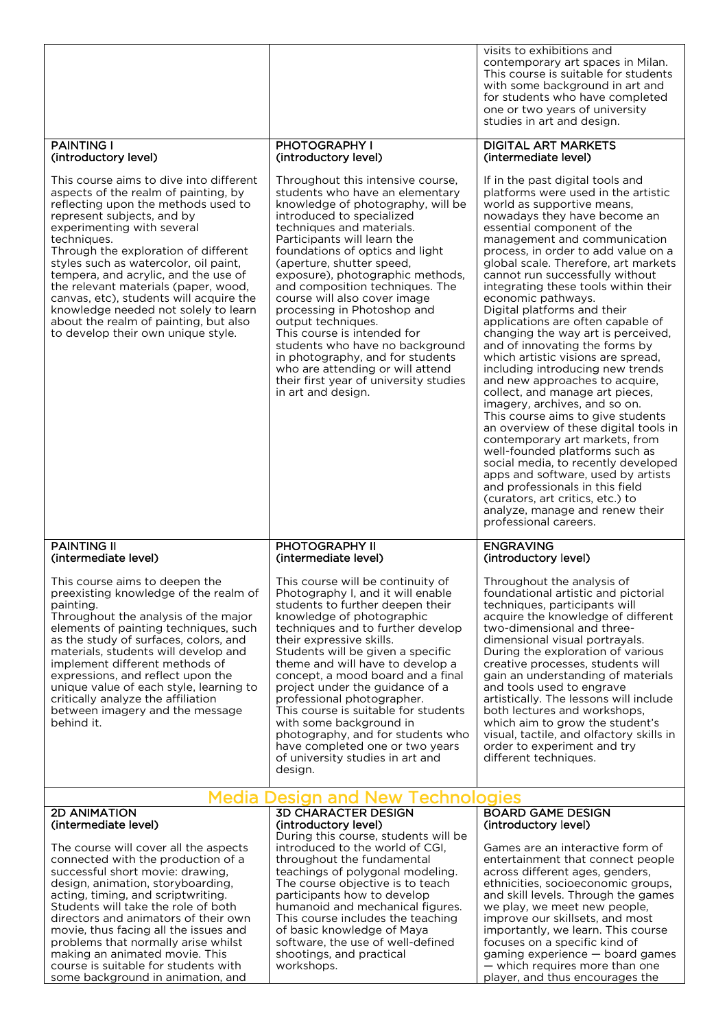|                                                                                                                                                                                                                                                                                                                                                                                                                                                                                                                                      |                                                                                                                                                                                                                                                                                                                                                                                                                                                                                                                                                                                                                                          | visits to exhibitions and<br>contemporary art spaces in Milan.<br>This course is suitable for students<br>with some background in art and<br>for students who have completed<br>one or two years of university<br>studies in art and design.                                                                                                                                                                                                                                                                                                                                                                                                                                                                                                                                                                                                                                                                                                                                                                                                                                      |
|--------------------------------------------------------------------------------------------------------------------------------------------------------------------------------------------------------------------------------------------------------------------------------------------------------------------------------------------------------------------------------------------------------------------------------------------------------------------------------------------------------------------------------------|------------------------------------------------------------------------------------------------------------------------------------------------------------------------------------------------------------------------------------------------------------------------------------------------------------------------------------------------------------------------------------------------------------------------------------------------------------------------------------------------------------------------------------------------------------------------------------------------------------------------------------------|-----------------------------------------------------------------------------------------------------------------------------------------------------------------------------------------------------------------------------------------------------------------------------------------------------------------------------------------------------------------------------------------------------------------------------------------------------------------------------------------------------------------------------------------------------------------------------------------------------------------------------------------------------------------------------------------------------------------------------------------------------------------------------------------------------------------------------------------------------------------------------------------------------------------------------------------------------------------------------------------------------------------------------------------------------------------------------------|
| <b>PAINTING I</b><br>(introductory level)                                                                                                                                                                                                                                                                                                                                                                                                                                                                                            | PHOTOGRAPHY I<br>(introductory level)                                                                                                                                                                                                                                                                                                                                                                                                                                                                                                                                                                                                    | <b>DIGITAL ART MARKETS</b><br>(intermediate level)                                                                                                                                                                                                                                                                                                                                                                                                                                                                                                                                                                                                                                                                                                                                                                                                                                                                                                                                                                                                                                |
| This course aims to dive into different<br>aspects of the realm of painting, by<br>reflecting upon the methods used to<br>represent subjects, and by<br>experimenting with several<br>techniques.<br>Through the exploration of different<br>styles such as watercolor, oil paint,<br>tempera, and acrylic, and the use of<br>the relevant materials (paper, wood,<br>canvas, etc), students will acquire the<br>knowledge needed not solely to learn<br>about the realm of painting, but also<br>to develop their own unique style. | Throughout this intensive course,<br>students who have an elementary<br>knowledge of photography, will be<br>introduced to specialized<br>techniques and materials.<br>Participants will learn the<br>foundations of optics and light<br>(aperture, shutter speed,<br>exposure), photographic methods,<br>and composition techniques. The<br>course will also cover image<br>processing in Photoshop and<br>output techniques.<br>This course is intended for<br>students who have no background<br>in photography, and for students<br>who are attending or will attend<br>their first year of university studies<br>in art and design. | If in the past digital tools and<br>platforms were used in the artistic<br>world as supportive means,<br>nowadays they have become an<br>essential component of the<br>management and communication<br>process, in order to add value on a<br>global scale. Therefore, art markets<br>cannot run successfully without<br>integrating these tools within their<br>economic pathways.<br>Digital platforms and their<br>applications are often capable of<br>changing the way art is perceived,<br>and of innovating the forms by<br>which artistic visions are spread,<br>including introducing new trends<br>and new approaches to acquire,<br>collect, and manage art pieces,<br>imagery, archives, and so on.<br>This course aims to give students<br>an overview of these digital tools in<br>contemporary art markets, from<br>well-founded platforms such as<br>social media, to recently developed<br>apps and software, used by artists<br>and professionals in this field<br>(curators, art critics, etc.) to<br>analyze, manage and renew their<br>professional careers. |
| <b>PAINTING II</b><br>(intermediate level)                                                                                                                                                                                                                                                                                                                                                                                                                                                                                           | PHOTOGRAPHY II<br>(intermediate level)                                                                                                                                                                                                                                                                                                                                                                                                                                                                                                                                                                                                   | <b>ENGRAVING</b><br>(introductory level)                                                                                                                                                                                                                                                                                                                                                                                                                                                                                                                                                                                                                                                                                                                                                                                                                                                                                                                                                                                                                                          |
| This course aims to deepen the<br>preexisting knowledge of the realm of<br>painting.<br>Throughout the analysis of the major<br>elements of painting techniques, such<br>as the study of surfaces, colors, and<br>materials, students will develop and<br>implement different methods of<br>expressions, and reflect upon the<br>unique value of each style, learning to<br>critically analyze the affiliation<br>between imagery and the message<br>behind it.                                                                      | This course will be continuity of<br>Photography I, and it will enable<br>students to further deepen their<br>knowledge of photographic<br>techniques and to further develop<br>their expressive skills.<br>Students will be given a specific<br>theme and will have to develop a<br>concept, a mood board and a final<br>project under the guidance of a<br>professional photographer.<br>This course is suitable for students<br>with some background in<br>photography, and for students who<br>have completed one or two years<br>of university studies in art and<br>design.                                                        | Throughout the analysis of<br>foundational artistic and pictorial<br>techniques, participants will<br>acquire the knowledge of different<br>two-dimensional and three-<br>dimensional visual portravals.<br>During the exploration of various<br>creative processes, students will<br>gain an understanding of materials<br>and tools used to engrave<br>artistically. The lessons will include<br>both lectures and workshops.<br>which aim to grow the student's<br>visual, tactile, and olfactory skills in<br>order to experiment and try<br>different techniques.                                                                                                                                                                                                                                                                                                                                                                                                                                                                                                            |
| <b>2D ANIMATION</b>                                                                                                                                                                                                                                                                                                                                                                                                                                                                                                                  | Media Design and New Technologies<br><b>3D CHARACTER DESIGN</b>                                                                                                                                                                                                                                                                                                                                                                                                                                                                                                                                                                          | <b>BOARD GAME DESIGN</b>                                                                                                                                                                                                                                                                                                                                                                                                                                                                                                                                                                                                                                                                                                                                                                                                                                                                                                                                                                                                                                                          |
| (intermediate level)<br>The course will cover all the aspects<br>connected with the production of a<br>successful short movie: drawing,<br>design, animation, storyboarding,<br>acting, timing, and scriptwriting.<br>Students will take the role of both<br>directors and animators of their own<br>movie, thus facing all the issues and<br>problems that normally arise whilst<br>making an animated movie. This<br>course is suitable for students with                                                                          | (introductory level)<br>During this course, students will be<br>introduced to the world of CGI,<br>throughout the fundamental<br>teachings of polygonal modeling.<br>The course objective is to teach<br>participants how to develop<br>humanoid and mechanical figures.<br>This course includes the teaching<br>of basic knowledge of Maya<br>software, the use of well-defined<br>shootings, and practical<br>workshops.                                                                                                                                                                                                               | (introductory level)<br>Games are an interactive form of<br>entertainment that connect people<br>across different ages, genders,<br>ethnicities, socioeconomic groups,<br>and skill levels. Through the games<br>we play, we meet new people,<br>improve our skillsets, and most<br>importantly, we learn. This course<br>focuses on a specific kind of<br>gaming experience - board games<br>- which requires more than one                                                                                                                                                                                                                                                                                                                                                                                                                                                                                                                                                                                                                                                      |

— which requires more than one player, and thus encourages the

course is suitable for students with some background in animation, and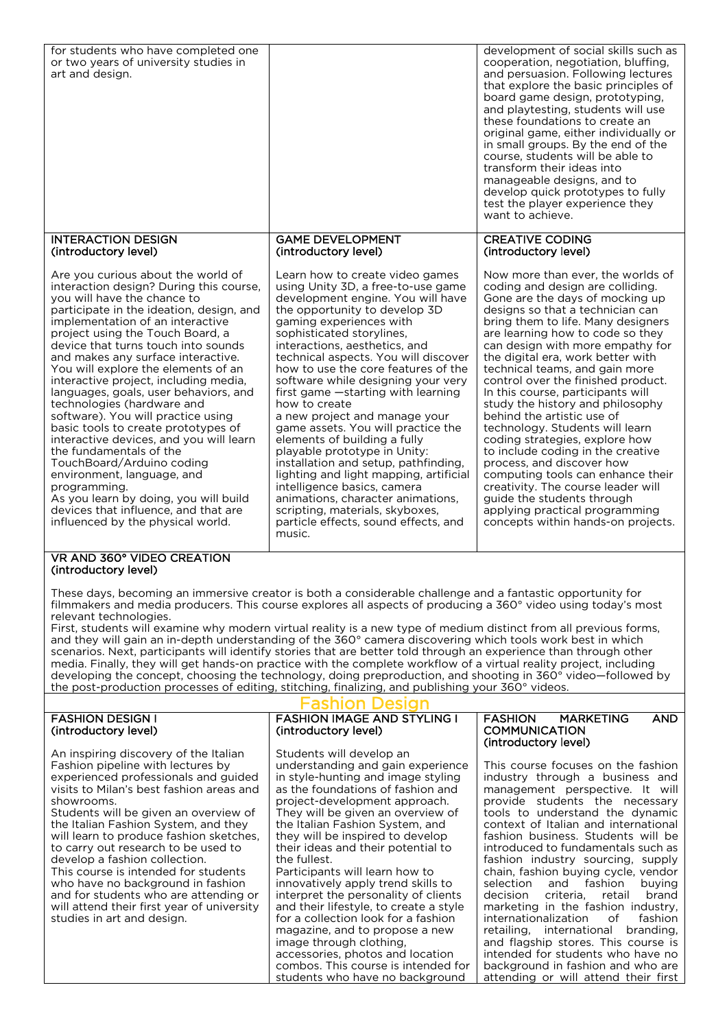| for students who have completed one<br>or two years of university studies in<br>art and design.                                                                                                                                                                                                                                                                                                                                                                                                                                                                                                                                                                                                                                                                                                                                                                                                                                                          |                                                                                                                                                                                                                                                                                                                                                                                                                                                                                                                                                                                                                                                                                                                                                                                                     | development of social skills such as<br>cooperation, negotiation, bluffing,<br>and persuasion. Following lectures<br>that explore the basic principles of<br>board game design, prototyping,<br>and playtesting, students will use<br>these foundations to create an<br>original game, either individually or<br>in small groups. By the end of the<br>course, students will be able to<br>transform their ideas into<br>manageable designs, and to<br>develop quick prototypes to fully<br>test the player experience they<br>want to achieve.                                                                                                                                                                                                                                                        |  |
|----------------------------------------------------------------------------------------------------------------------------------------------------------------------------------------------------------------------------------------------------------------------------------------------------------------------------------------------------------------------------------------------------------------------------------------------------------------------------------------------------------------------------------------------------------------------------------------------------------------------------------------------------------------------------------------------------------------------------------------------------------------------------------------------------------------------------------------------------------------------------------------------------------------------------------------------------------|-----------------------------------------------------------------------------------------------------------------------------------------------------------------------------------------------------------------------------------------------------------------------------------------------------------------------------------------------------------------------------------------------------------------------------------------------------------------------------------------------------------------------------------------------------------------------------------------------------------------------------------------------------------------------------------------------------------------------------------------------------------------------------------------------------|--------------------------------------------------------------------------------------------------------------------------------------------------------------------------------------------------------------------------------------------------------------------------------------------------------------------------------------------------------------------------------------------------------------------------------------------------------------------------------------------------------------------------------------------------------------------------------------------------------------------------------------------------------------------------------------------------------------------------------------------------------------------------------------------------------|--|
| <b>INTERACTION DESIGN</b><br>(introductory level)                                                                                                                                                                                                                                                                                                                                                                                                                                                                                                                                                                                                                                                                                                                                                                                                                                                                                                        | <b>GAME DEVELOPMENT</b><br>(introductory level)                                                                                                                                                                                                                                                                                                                                                                                                                                                                                                                                                                                                                                                                                                                                                     | <b>CREATIVE CODING</b><br>(introductory level)                                                                                                                                                                                                                                                                                                                                                                                                                                                                                                                                                                                                                                                                                                                                                         |  |
| Are you curious about the world of<br>interaction design? During this course,<br>you will have the chance to<br>participate in the ideation, design, and<br>implementation of an interactive<br>project using the Touch Board, a<br>device that turns touch into sounds<br>and makes any surface interactive.<br>You will explore the elements of an<br>interactive project, including media,<br>languages, goals, user behaviors, and<br>technologies (hardware and<br>software). You will practice using<br>basic tools to create prototypes of<br>interactive devices, and you will learn<br>the fundamentals of the<br>TouchBoard/Arduino coding<br>environment, language, and<br>programming.<br>As you learn by doing, you will build<br>devices that influence, and that are<br>influenced by the physical world.                                                                                                                                 | Learn how to create video games<br>using Unity 3D, a free-to-use game<br>development engine. You will have<br>the opportunity to develop 3D<br>gaming experiences with<br>sophisticated storylines,<br>interactions, aesthetics, and<br>technical aspects. You will discover<br>how to use the core features of the<br>software while designing your very<br>first game - starting with learning<br>how to create<br>a new project and manage your<br>game assets. You will practice the<br>elements of building a fully<br>playable prototype in Unity:<br>installation and setup, pathfinding,<br>lighting and light mapping, artificial<br>intelligence basics, camera<br>animations, character animations,<br>scripting, materials, skyboxes,<br>particle effects, sound effects, and<br>music. | Now more than ever, the worlds of<br>coding and design are colliding.<br>Gone are the days of mocking up<br>designs so that a technician can<br>bring them to life. Many designers<br>are learning how to code so they<br>can design with more empathy for<br>the digital era, work better with<br>technical teams, and gain more<br>control over the finished product.<br>In this course, participants will<br>study the history and philosophy<br>behind the artistic use of<br>technology. Students will learn<br>coding strategies, explore how<br>to include coding in the creative<br>process, and discover how<br>computing tools can enhance their<br>creativity. The course leader will<br>guide the students through<br>applying practical programming<br>concepts within hands-on projects. |  |
| VR AND 360° VIDEO CREATION<br>(introductory level)                                                                                                                                                                                                                                                                                                                                                                                                                                                                                                                                                                                                                                                                                                                                                                                                                                                                                                       |                                                                                                                                                                                                                                                                                                                                                                                                                                                                                                                                                                                                                                                                                                                                                                                                     |                                                                                                                                                                                                                                                                                                                                                                                                                                                                                                                                                                                                                                                                                                                                                                                                        |  |
| These days, becoming an immersive creator is both a considerable challenge and a fantastic opportunity for<br>filmmakers and media producers. This course explores all aspects of producing a 360° video using today's most<br>relevant technologies.<br>First, students will examine why modern virtual reality is a new type of medium distinct from all previous forms,<br>and they will gain an in-depth understanding of the 360° camera discovering which tools work best in which<br>scenarios. Next, participants will identify stories that are better told through an experience than through other<br>media. Finally, they will get hands-on practice with the complete workflow of a virtual reality project, including<br>developing the concept, choosing the technology, doing preproduction, and shooting in 360° video-followed by<br>the post-production processes of editing, stitching, finalizing, and publishing your 360° videos. |                                                                                                                                                                                                                                                                                                                                                                                                                                                                                                                                                                                                                                                                                                                                                                                                     |                                                                                                                                                                                                                                                                                                                                                                                                                                                                                                                                                                                                                                                                                                                                                                                                        |  |
|                                                                                                                                                                                                                                                                                                                                                                                                                                                                                                                                                                                                                                                                                                                                                                                                                                                                                                                                                          | Fashion Design                                                                                                                                                                                                                                                                                                                                                                                                                                                                                                                                                                                                                                                                                                                                                                                      |                                                                                                                                                                                                                                                                                                                                                                                                                                                                                                                                                                                                                                                                                                                                                                                                        |  |
| <b>FASHION DESIGN I</b><br>(introductory level)                                                                                                                                                                                                                                                                                                                                                                                                                                                                                                                                                                                                                                                                                                                                                                                                                                                                                                          | <b>FASHION IMAGE AND STYLING I</b><br>(introductory level)                                                                                                                                                                                                                                                                                                                                                                                                                                                                                                                                                                                                                                                                                                                                          | <b>MARKETING</b><br><b>AND</b><br><b>FASHION</b><br><b>COMMUNICATION</b>                                                                                                                                                                                                                                                                                                                                                                                                                                                                                                                                                                                                                                                                                                                               |  |
| An inspiring discovery of the Italian<br>Fashion pipeline with lectures by<br>experienced professionals and guided<br>visits to Milan's best fashion areas and<br>showrooms.<br>Students will be given an overview of<br>the Italian Fashion System, and they<br>will learn to produce fashion sketches,<br>to carry out research to be used to<br>develop a fashion collection.<br>This course is intended for students<br>who have no background in fashion<br>and for students who are attending or<br>will attend their first year of university<br>studies in art and design.                                                                                                                                                                                                                                                                                                                                                                       | Students will develop an<br>understanding and gain experience<br>in style-hunting and image styling<br>as the foundations of fashion and<br>project-development approach.<br>They will be given an overview of<br>the Italian Fashion System, and<br>they will be inspired to develop<br>their ideas and their potential to<br>the fullest.<br>Participants will learn how to<br>innovatively apply trend skills to<br>interpret the personality of clients<br>and their lifestyle, to create a style<br>for a collection look for a fashion<br>magazine, and to propose a new                                                                                                                                                                                                                      | (introductory level)<br>This course focuses on the fashion<br>industry through a business and<br>management perspective. It will<br>provide students the necessary<br>tools to understand the dynamic<br>context of Italian and international<br>fashion business. Students will be<br>introduced to fundamentals such as<br>fashion industry sourcing, supply<br>chain, fashion buying cycle, vendor<br>selection<br>fashion<br>and<br>buying<br>decision<br>criteria,<br>brand<br>retail<br>marketing in the fashion industry,<br>internationalization<br>of<br>fashion<br>branding,<br>retailing, international                                                                                                                                                                                     |  |

image through clothing,

accessories, photos and location combos. This course is intended for students who have no background

and flagship stores. This course is intended for students who have no background in fashion and who are attending or will attend their first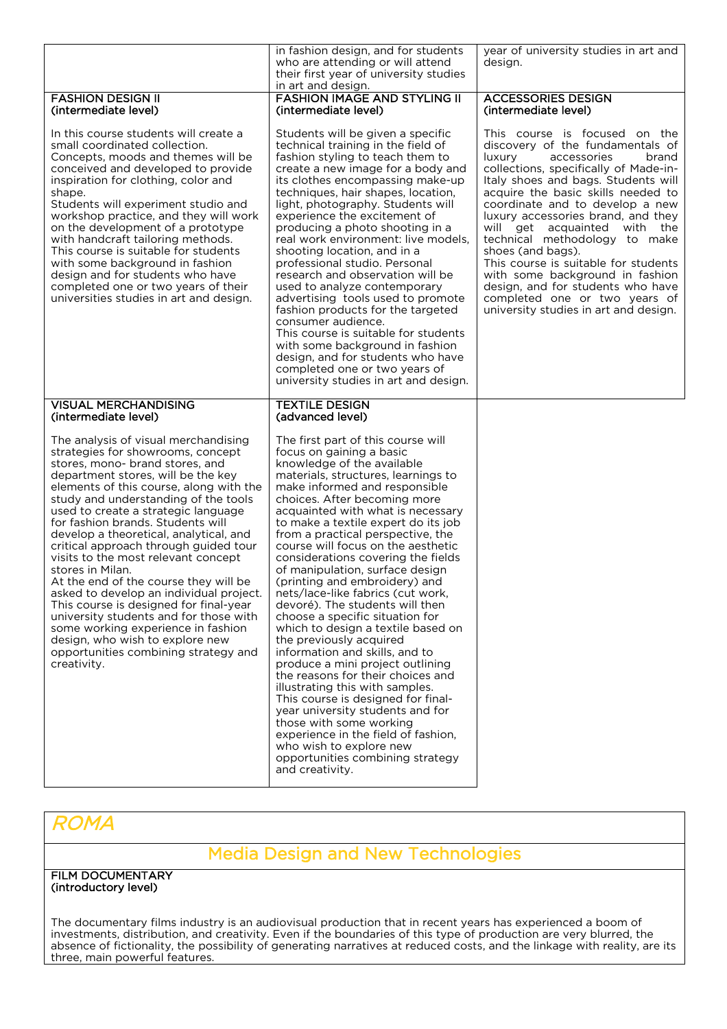|                                                                                                                                                                                                                                                                                                                                                                                                                                                                                                                                                                                                                                                                                                                                                                         | in fashion design, and for students<br>who are attending or will attend<br>their first year of university studies<br>in art and design.                                                                                                                                                                                                                                                                                                                                                                                                                                                                                                                                                                                                                                                                                                                                                                                                                                                                                       | year of university studies in art and<br>design.                                                                                                                                                                                                                                                                                                                                                                                                                                                                                                                                   |
|-------------------------------------------------------------------------------------------------------------------------------------------------------------------------------------------------------------------------------------------------------------------------------------------------------------------------------------------------------------------------------------------------------------------------------------------------------------------------------------------------------------------------------------------------------------------------------------------------------------------------------------------------------------------------------------------------------------------------------------------------------------------------|-------------------------------------------------------------------------------------------------------------------------------------------------------------------------------------------------------------------------------------------------------------------------------------------------------------------------------------------------------------------------------------------------------------------------------------------------------------------------------------------------------------------------------------------------------------------------------------------------------------------------------------------------------------------------------------------------------------------------------------------------------------------------------------------------------------------------------------------------------------------------------------------------------------------------------------------------------------------------------------------------------------------------------|------------------------------------------------------------------------------------------------------------------------------------------------------------------------------------------------------------------------------------------------------------------------------------------------------------------------------------------------------------------------------------------------------------------------------------------------------------------------------------------------------------------------------------------------------------------------------------|
| <b>FASHION DESIGN II</b><br>(intermediate level)                                                                                                                                                                                                                                                                                                                                                                                                                                                                                                                                                                                                                                                                                                                        | <b>FASHION IMAGE AND STYLING II</b><br>(intermediate level)                                                                                                                                                                                                                                                                                                                                                                                                                                                                                                                                                                                                                                                                                                                                                                                                                                                                                                                                                                   | <b>ACCESSORIES DESIGN</b><br>(intermediate level)                                                                                                                                                                                                                                                                                                                                                                                                                                                                                                                                  |
| In this course students will create a<br>small coordinated collection.<br>Concepts, moods and themes will be<br>conceived and developed to provide<br>inspiration for clothing, color and<br>shape.<br>Students will experiment studio and<br>workshop practice, and they will work<br>on the development of a prototype<br>with handcraft tailoring methods.<br>This course is suitable for students<br>with some background in fashion<br>design and for students who have<br>completed one or two years of their<br>universities studies in art and design.                                                                                                                                                                                                          | Students will be given a specific<br>technical training in the field of<br>fashion styling to teach them to<br>create a new image for a body and<br>its clothes encompassing make-up<br>techniques, hair shapes, location,<br>light, photography. Students will<br>experience the excitement of<br>producing a photo shooting in a<br>real work environment: live models,<br>shooting location, and in a<br>professional studio. Personal<br>research and observation will be<br>used to analyze contemporary<br>advertising tools used to promote<br>fashion products for the targeted<br>consumer audience.<br>This course is suitable for students<br>with some background in fashion<br>design, and for students who have<br>completed one or two years of<br>university studies in art and design.                                                                                                                                                                                                                       | This course is focused on the<br>discovery of the fundamentals of<br>luxury<br>accessories<br>brand<br>collections, specifically of Made-in-<br>Italy shoes and bags. Students will<br>acquire the basic skills needed to<br>coordinate and to develop a new<br>luxury accessories brand, and they<br>will get acquainted with the<br>technical methodology to make<br>shoes (and bags).<br>This course is suitable for students<br>with some background in fashion<br>design, and for students who have<br>completed one or two years of<br>university studies in art and design. |
| <b>VISUAL MERCHANDISING</b><br>(intermediate level)                                                                                                                                                                                                                                                                                                                                                                                                                                                                                                                                                                                                                                                                                                                     | <b>TEXTILE DESIGN</b><br>(advanced level)                                                                                                                                                                                                                                                                                                                                                                                                                                                                                                                                                                                                                                                                                                                                                                                                                                                                                                                                                                                     |                                                                                                                                                                                                                                                                                                                                                                                                                                                                                                                                                                                    |
| The analysis of visual merchandising<br>strategies for showrooms, concept<br>stores, mono- brand stores, and<br>department stores, will be the key<br>elements of this course, along with the<br>study and understanding of the tools<br>used to create a strategic language<br>for fashion brands. Students will<br>develop a theoretical, analytical, and<br>critical approach through guided tour<br>visits to the most relevant concept<br>stores in Milan.<br>At the end of the course they will be<br>asked to develop an individual project.<br>This course is designed for final-year<br>university students and for those with<br>some working experience in fashion<br>design, who wish to explore new<br>opportunities combining strategy and<br>creativity. | The first part of this course will<br>focus on gaining a basic<br>knowledge of the available<br>materials, structures, learnings to<br>make informed and responsible<br>choices. After becoming more<br>acquainted with what is necessary<br>to make a textile expert do its job<br>from a practical perspective, the<br>course will focus on the aesthetic<br>considerations covering the fields<br>of manipulation, surface design<br>(printing and embroidery) and<br>nets/lace-like fabrics (cut work,<br>devoré). The students will then<br>choose a specific situation for<br>which to design a textile based on<br>the previously acquired<br>information and skills, and to<br>produce a mini project outlining<br>the reasons for their choices and<br>illustrating this with samples.<br>This course is designed for final-<br>year university students and for<br>those with some working<br>experience in the field of fashion,<br>who wish to explore new<br>opportunities combining strategy<br>and creativity. |                                                                                                                                                                                                                                                                                                                                                                                                                                                                                                                                                                                    |

## ROMA

## Media Design and New Technologies

FILM DOCUMENTARY (introductory level)

The documentary films industry is an audiovisual production that in recent years has experienced a boom of investments, distribution, and creativity. Even if the boundaries of this type of production are very blurred, the absence of fictionality, the possibility of generating narratives at reduced costs, and the linkage with reality, are its three, main powerful features.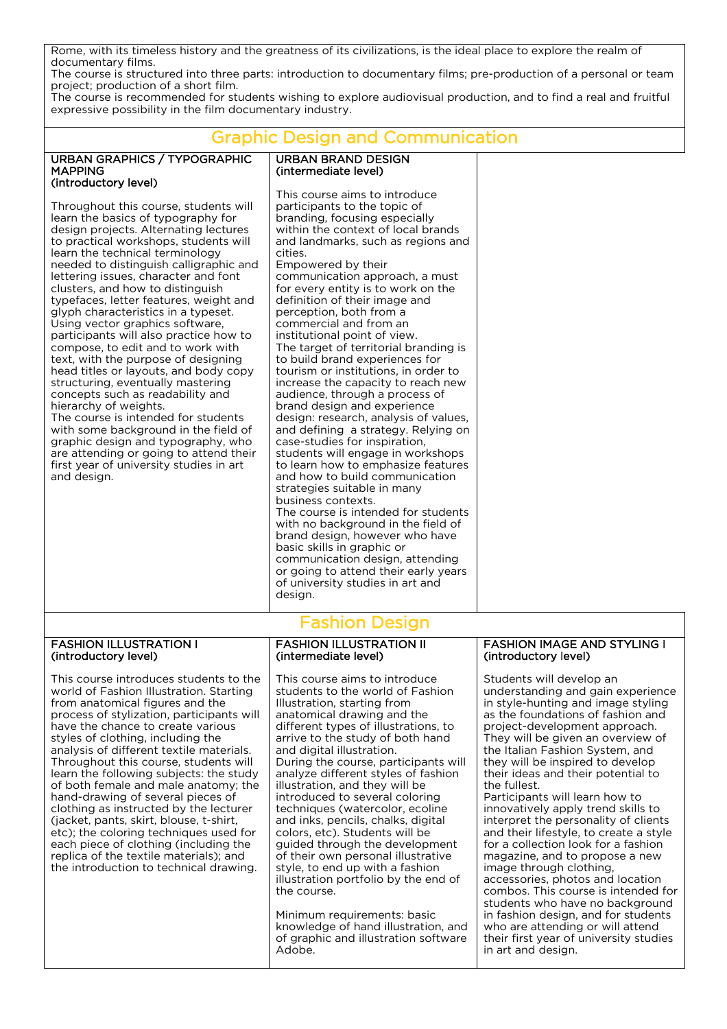Rome, with its timeless history and the greatness of its civilizations, is the ideal place to explore the realm of documentary films.

> URBAN BRAND DESIGN (intermediate level)

The course is structured into three parts: introduction to documentary films; pre-production of a personal or team project; production of a short film.

The course is recommended for students wishing to explore audiovisual production, and to find a real and fruitful expressive possibility in the film documentary industry.  $\overline{a}$ 

## Graphic Design and Communication

| URBAN GRAPHICS / TYPOGRAPHIC |
|------------------------------|
| <b>MAPPING</b>               |
| (introductory level)         |

Throughout this course, students will learn the basics of typography for design projects. Alternating lectures to practical workshops, students will learn the technical terminology needed to distinguish calligraphic and lettering issues, character and font clusters, and how to distinguish typefaces, letter features, weight and glyph characteristics in a typeset. Using vector graphics software, participants will also practice how to compose, to edit and to work with text, with the purpose of designing head titles or layouts, and body copy structuring, eventually mastering concepts such as readability and hierarchy of weights.

The course is intended for students with some background in the field of graphic design and typography, who are attending or going to attend their first year of university studies in art and design.

This course aims to introduce participants to the topic of branding, focusing especially within the context of local brands and landmarks, such as regions and cities. Empowered by their communication approach, a must for every entity is to work on the definition of their image and perception, both from a commercial and from an institutional point of view. The target of territorial branding is to build brand experiences for tourism or institutions, in order to increase the capacity to reach new audience, through a process of brand design and experience design: research, analysis of values, and defining a strategy. Relying on case-studies for inspiration, students will engage in workshops to learn how to emphasize features and how to build communication strategies suitable in many business contexts. The course is intended for students with no background in the field of brand design, however who have basic skills in graphic or communication design, attending or going to attend their early years of university studies in art and design.

#### FASHION ILLUSTRATION I (introductory level)

This course introduces students to the world of Fashion Illustration. Starting from anatomical figures and the process of stylization, participants will have the chance to create various styles of clothing, including the analysis of different textile materials. Throughout this course, students will learn the following subjects: the study of both female and male anatomy; the hand-drawing of several pieces of clothing as instructed by the lecturer (jacket, pants, skirt, blouse, t-shirt, etc); the coloring techniques used for each piece of clothing (including the replica of the textile materials); and the introduction to technical drawing.

# Fashion Design

#### FASHION ILLUSTRATION II (intermediate level)

This course aims to introduce students to the world of Fashion Illustration, starting from anatomical drawing and the different types of illustrations, to arrive to the study of both hand and digital illustration. During the course, participants will analyze different styles of fashion illustration, and they will be introduced to several coloring techniques (watercolor, ecoline and inks, pencils, chalks, digital colors, etc). Students will be guided through the development of their own personal illustrative style, to end up with a fashion illustration portfolio by the end of the course.

Minimum requirements: basic knowledge of hand illustration, and of graphic and illustration software Adobe.

#### FASHION IMAGE AND STYLING I (introductory level)

Students will develop an understanding and gain experience in style-hunting and image styling as the foundations of fashion and project-development approach. They will be given an overview of the Italian Fashion System, and they will be inspired to develop their ideas and their potential to the fullest.

Participants will learn how to innovatively apply trend skills to interpret the personality of clients and their lifestyle, to create a style for a collection look for a fashion magazine, and to propose a new image through clothing, accessories, photos and location combos. This course is intended for students who have no background in fashion design, and for students who are attending or will attend their first year of university studies in art and design.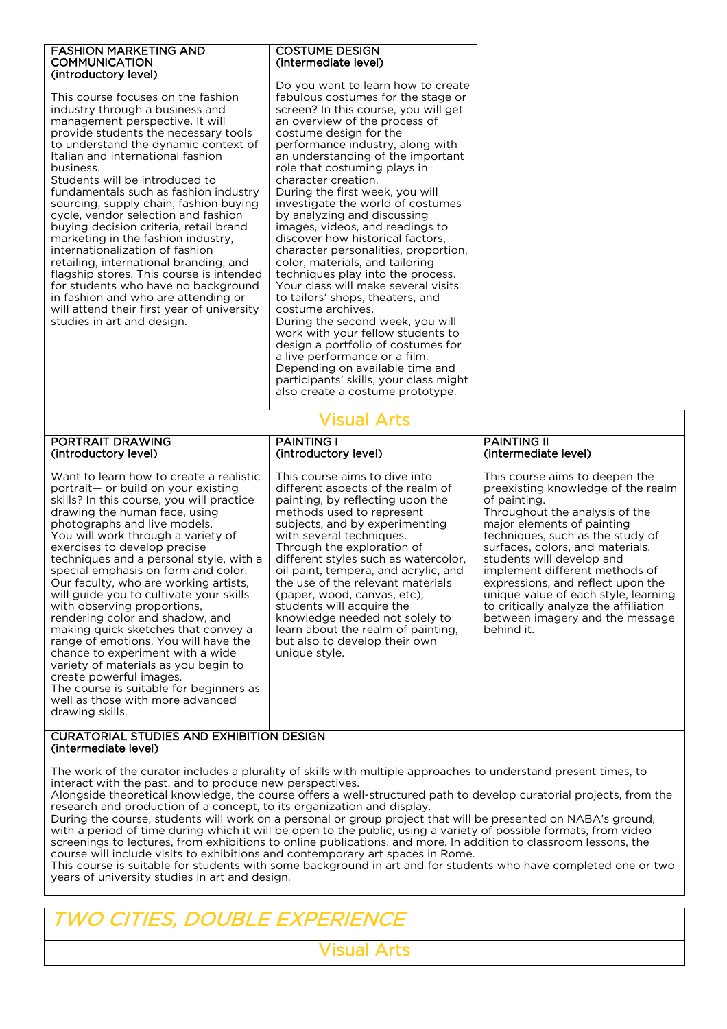#### FASHION MARKETING AND **COMMUNICATION** (introductory level)

This course focuses on the fashion industry through a business and management perspective. It will provide students the necessary tools to understand the dynamic context of Italian and international fashion business.

Students will be introduced to fundamentals such as fashion industry sourcing, supply chain, fashion buying cycle, vendor selection and fashion buying decision criteria, retail brand marketing in the fashion industry, internationalization of fashion retailing, international branding, and flagship stores. This course is intended for students who have no background in fashion and who are attending or will attend their first year of university studies in art and design.

#### COSTUME DESIGN (intermediate level)

Do you want to learn how to create fabulous costumes for the stage or screen? In this course, you will get an overview of the process of costume design for the performance industry, along with an understanding of the important role that costuming plays in character creation. During the first week, you will investigate the world of costumes by analyzing and discussing images, videos, and readings to discover how historical factors, character personalities, proportion, color, materials, and tailoring techniques play into the process. Your class will make several visits to tailors' shops, theaters, and costume archives. During the second week, you will work with your fellow students to design a portfolio of costumes for a live performance or a film. Depending on available time and participants' skills, your class might also create a costume prototype.

## Visual Arts

PAINTING I

(introductory level)

#### PORTRAIT DRAWING (introductory level)

Want to learn how to create a realistic portrait— or build on your existing skills? In this course, you will practice drawing the human face, using photographs and live models. You will work through a variety of exercises to develop precise techniques and a personal style, with a special emphasis on form and color. Our faculty, who are working artists, will guide you to cultivate your skills with observing proportions, rendering color and shadow, and making quick sketches that convey a range of emotions. You will have the chance to experiment with a wide variety of materials as you begin to create powerful images. The course is suitable for beginners as well as those with more advanced drawing skills.

#### This course aims to dive into different aspects of the realm of painting, by reflecting upon the methods used to represent subjects, and by experimenting with several techniques. Through the exploration of different styles such as watercolor, oil paint, tempera, and acrylic, and the use of the relevant materials (paper, wood, canvas, etc), students will acquire the knowledge needed not solely to learn about the realm of painting, but also to develop their own unique style.

#### PAINTING II (intermediate level)

This course aims to deepen the preexisting knowledge of the realm of painting. Throughout the analysis of the major elements of painting techniques, such as the study of surfaces, colors, and materials, students will develop and implement different methods of expressions, and reflect upon the unique value of each style, learning to critically analyze the affiliation between imagery and the message behind it.

#### CURATORIAL STUDIES AND EXHIBITION DESIGN (intermediate level)

The work of the curator includes a plurality of skills with multiple approaches to understand present times, to interact with the past, and to produce new perspectives.

Alongside theoretical knowledge, the course offers a well-structured path to develop curatorial projects, from the research and production of a concept, to its organization and display.

During the course, students will work on a personal or group project that will be presented on NABA's ground, with a period of time during which it will be open to the public, using a variety of possible formats, from video screenings to lectures, from exhibitions to online publications, and more. In addition to classroom lessons, the course will include visits to exhibitions and contemporary art spaces in Rome.

This course is suitable for students with some background in art and for students who have completed one or two years of university studies in art and design.

# TWO CITIES, DOUBLE EXPERIENCE

Visual Arts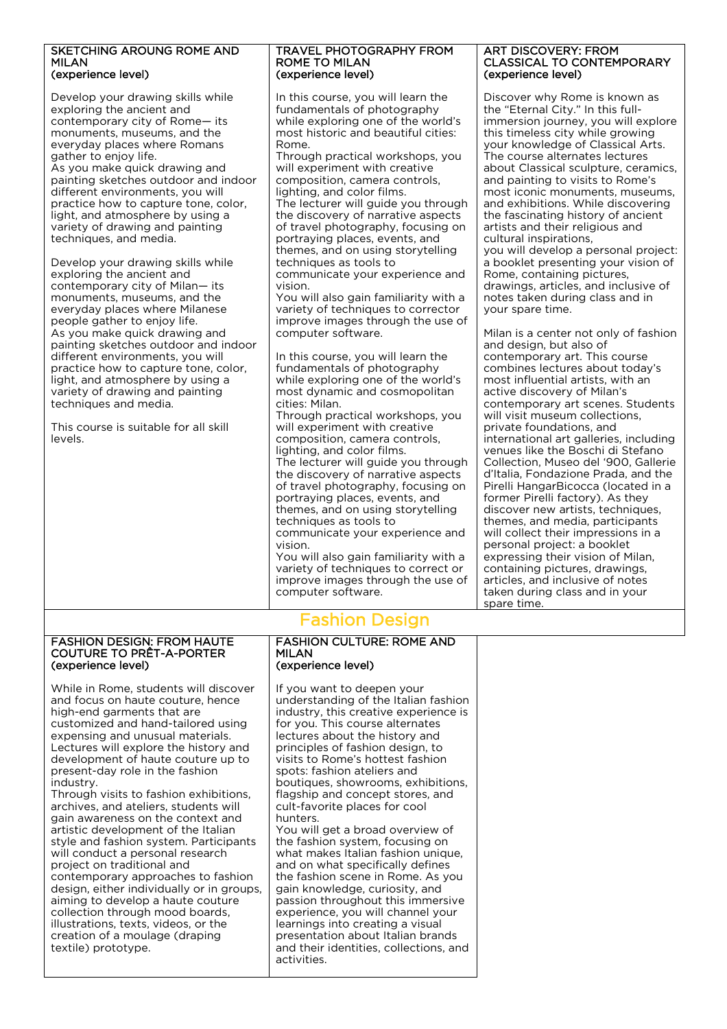#### SKETCHING AROUNG ROME AND MILAN (experience level)

Develop your drawing skills while exploring the ancient and contemporary city of Rome— its monuments, museums, and the everyday places where Romans gather to enjoy life. As you make quick drawing and painting sketches outdoor and indoor different environments, you will practice how to capture tone, color, light, and atmosphere by using a variety of drawing and painting techniques, and media.

Develop your drawing skills while exploring the ancient and contemporary city of Milan— its monuments, museums, and the everyday places where Milanese people gather to enjoy life. As you make quick drawing and painting sketches outdoor and indoor different environments, you will practice how to capture tone, color, light, and atmosphere by using a variety of drawing and painting techniques and media.

This course is suitable for all skill levels.

#### TRAVEL PHOTOGRAPHY FROM ROME TO MILAN (experience level)

In this course, you will learn the fundamentals of photography while exploring one of the world's most historic and beautiful cities: Rome.

Through practical workshops, you will experiment with creative composition, camera controls, lighting, and color films. The lecturer will guide you through the discovery of narrative aspects of travel photography, focusing on portraying places, events, and themes, and on using storytelling techniques as tools to communicate your experience and vision.

You will also gain familiarity with a variety of techniques to corrector improve images through the use of computer software.

In this course, you will learn the fundamentals of photography while exploring one of the world's most dynamic and cosmopolitan cities: Milan.

Through practical workshops, you will experiment with creative composition, camera controls, lighting, and color films. The lecturer will guide you through the discovery of narrative aspects

of travel photography, focusing on portraying places, events, and themes, and on using storytelling techniques as tools to communicate your experience and

vision.

You will also gain familiarity with a variety of techniques to correct or improve images through the use of computer software.

#### ART DISCOVERY: FROM CLASSICAL TO CONTEMPORARY (experience level)

Discover why Rome is known as the "Eternal City." In this fullimmersion journey, you will explore this timeless city while growing your knowledge of Classical Arts. The course alternates lectures about Classical sculpture, ceramics, and painting to visits to Rome's most iconic monuments, museums, and exhibitions. While discovering the fascinating history of ancient artists and their religious and cultural inspirations,

you will develop a personal project: a booklet presenting your vision of Rome, containing pictures, drawings, articles, and inclusive of notes taken during class and in your spare time.

Milan is a center not only of fashion and design, but also of contemporary art. This course combines lectures about today's most influential artists, with an active discovery of Milan's contemporary art scenes. Students will visit museum collections, private foundations, and international art galleries, including venues like the Boschi di Stefano Collection, Museo del '900, Gallerie d'Italia, Fondazione Prada, and the Pirelli HangarBicocca (located in a former Pirelli factory). As they discover new artists, techniques, themes, and media, participants will collect their impressions in a personal project: a booklet expressing their vision of Milan, containing pictures, drawings, articles, and inclusive of notes taken during class and in your spare time.

#### FASHION DESIGN: FROM HAUTE COUTURE TO PRÊT-A-PORTER (experience level)

While in Rome, students will discover and focus on haute couture, hence high-end garments that are customized and hand-tailored using expensing and unusual materials. Lectures will explore the history and development of haute couture up to present-day role in the fashion industry.

Through visits to fashion exhibitions, archives, and ateliers, students will gain awareness on the context and artistic development of the Italian style and fashion system. Participants will conduct a personal research project on traditional and contemporary approaches to fashion design, either individually or in groups, aiming to develop a haute couture collection through mood boards, illustrations, texts, videos, or the creation of a moulage (draping textile) prototype.

#### FASHION CULTURE: ROME AND MILAN (experience level)

Fashion Design

If you want to deepen your understanding of the Italian fashion industry, this creative experience is for you. This course alternates lectures about the history and principles of fashion design, to visits to Rome's hottest fashion spots: fashion ateliers and boutiques, showrooms, exhibitions, flagship and concept stores, and cult-favorite places for cool hunters.

You will get a broad overview of the fashion system, focusing on what makes Italian fashion unique, and on what specifically defines the fashion scene in Rome. As you gain knowledge, curiosity, and passion throughout this immersive experience, you will channel your learnings into creating a visual presentation about Italian brands and their identities, collections, and activities.